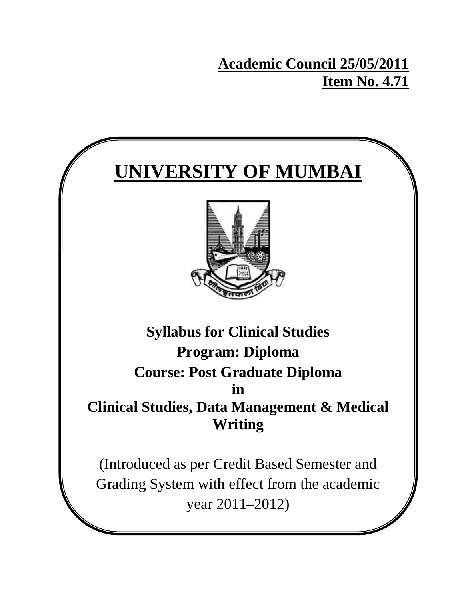**Academic Council 25/05/2011 Item No. 4.71**

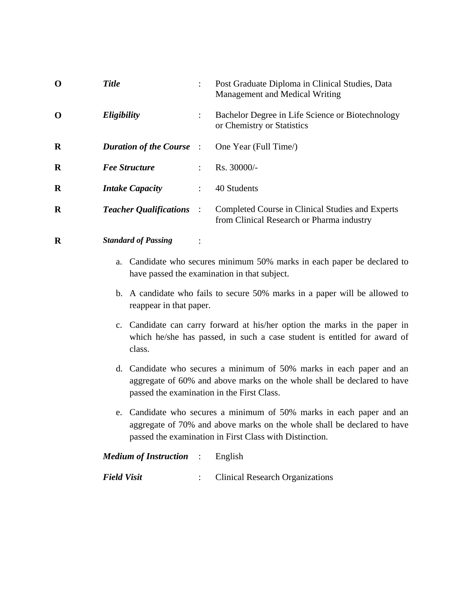| $\mathbf 0$ | <b>Title</b>                    | Post Graduate Diploma in Clinical Studies, Data<br>Management and Medical Writing             |
|-------------|---------------------------------|-----------------------------------------------------------------------------------------------|
| $\mathbf 0$ | Eligibility                     | Bachelor Degree in Life Science or Biotechnology<br>or Chemistry or Statistics                |
| $\bf{R}$    | <b>Duration of the Course</b> : | One Year (Full Time)                                                                          |
| $\bf{R}$    | <b>Fee Structure</b>            | Rs. 30000/-                                                                                   |
| $\bf{R}$    | <b>Intake Capacity</b>          | 40 Students                                                                                   |
| $\bf{R}$    | <b>Teacher Qualifications :</b> | Completed Course in Clinical Studies and Experts<br>from Clinical Research or Pharma industry |

**R** *Standard of Passing* :

- a. Candidate who secures minimum 50% marks in each paper be declared to have passed the examination in that subject.
- b. A candidate who fails to secure 50% marks in a paper will be allowed to reappear in that paper.
- c. Candidate can carry forward at his/her option the marks in the paper in which he/she has passed, in such a case student is entitled for award of class.
- d. Candidate who secures a minimum of 50% marks in each paper and an aggregate of 60% and above marks on the whole shall be declared to have passed the examination in the First Class.
- e. Candidate who secures a minimum of 50% marks in each paper and an aggregate of 70% and above marks on the whole shall be declared to have passed the examination in First Class with Distinction.

| <i>Medium of Instruction</i> : English |                                   |
|----------------------------------------|-----------------------------------|
| Field Visit                            | : Clinical Research Organizations |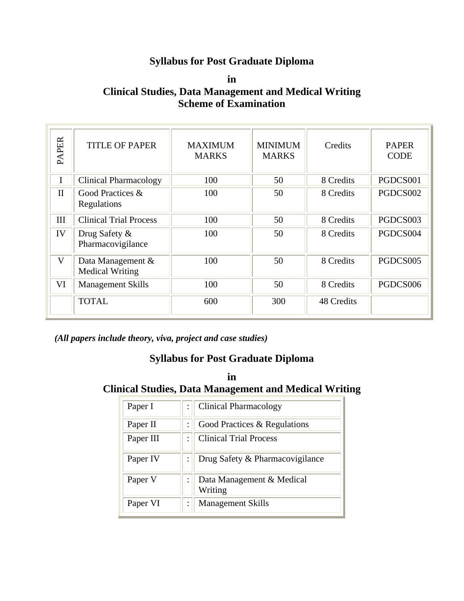# **Syllabus for Post Graduate Diploma**

**in Clinical Studies, Data Management and Medical Writing Scheme of Examination** 

| <b>PAPER</b> | <b>TITLE OF PAPER</b>                       | <b>MAXIMUM</b><br><b>MARKS</b> | <b>MINIMUM</b><br><b>MARKS</b> | Credits    | <b>PAPER</b><br><b>CODE</b> |
|--------------|---------------------------------------------|--------------------------------|--------------------------------|------------|-----------------------------|
|              | Clinical Pharmacology                       | 100                            | 50                             | 8 Credits  | PGDCS001                    |
| $\mathbf{I}$ | Good Practices &<br>Regulations             | 100                            | 50                             | 8 Credits  | PGDCS002                    |
| III          | <b>Clinical Trial Process</b>               | 100                            | 50                             | 8 Credits  | PGDCS003                    |
| IV           | Drug Safety &<br>Pharmacovigilance          | 100                            | 50                             | 8 Credits  | PGDCS004                    |
| V            | Data Management &<br><b>Medical Writing</b> | 100                            | 50                             | 8 Credits  | PGDCS005                    |
| VI           | <b>Management Skills</b>                    | 100                            | 50                             | 8 Credits  | PGDCS006                    |
|              | <b>TOTAL</b>                                | 600                            | 300                            | 48 Credits |                             |

*(All papers include theory, viva, project and case studies)* 

## **Syllabus for Post Graduate Diploma**

**in Clinical Studies, Data Management and Medical Writing** 

| Paper I   | <b>Clinical Pharmacology</b>         |
|-----------|--------------------------------------|
| Paper II  | Good Practices & Regulations         |
| Paper III | <b>Clinical Trial Process</b>        |
| Paper IV  | Drug Safety & Pharmacovigilance      |
| Paper V   | Data Management & Medical<br>Writing |
| Paper VI  | <b>Management Skills</b>             |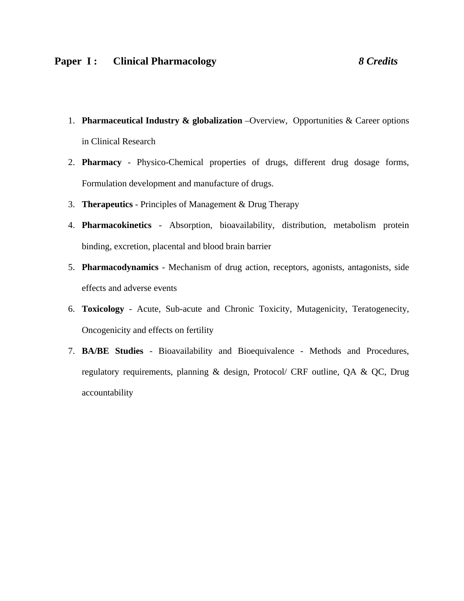- 1. **Pharmaceutical Industry & globalization** –Overview, Opportunities & Career options in Clinical Research
- 2. **Pharmacy**  Physico-Chemical properties of drugs, different drug dosage forms, Formulation development and manufacture of drugs.
- 3. **Therapeutics** Principles of Management & Drug Therapy
- 4. **Pharmacokinetics** Absorption, bioavailability, distribution, metabolism protein binding, excretion, placental and blood brain barrier
- 5. **Pharmacodynamics** Mechanism of drug action, receptors, agonists, antagonists, side effects and adverse events
- 6. **Toxicology** Acute, Sub-acute and Chronic Toxicity, Mutagenicity, Teratogenecity, Oncogenicity and effects on fertility
- 7. **BA/BE Studies** Bioavailability and Bioequivalence Methods and Procedures, regulatory requirements, planning & design, Protocol/ CRF outline, QA & QC, Drug accountability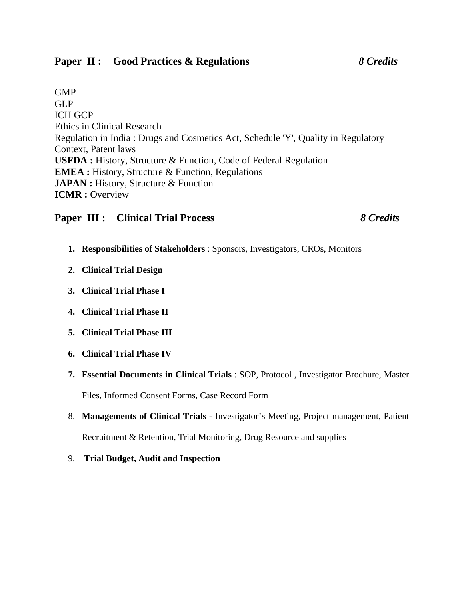### **Paper II : Good Practices & Regulations** *8 Credits*

GMP GLP ICH GCP Ethics in Clinical Research Regulation in India : Drugs and Cosmetics Act, Schedule 'Y', Quality in Regulatory Context, Patent laws **USFDA :** History, Structure & Function, Code of Federal Regulation **EMEA :** History, Structure & Function, Regulations **JAPAN :** History, Structure & Function **ICMR :** Overview

### **Paper III : Clinical Trial Process** *8 Credits*

- **1. Responsibilities of Stakeholders** : Sponsors, Investigators, CROs, Monitors
- **2. Clinical Trial Design**
- **3. Clinical Trial Phase I**
- **4. Clinical Trial Phase II**
- **5. Clinical Trial Phase III**
- **6. Clinical Trial Phase IV**
- **7. Essential Documents in Clinical Trials** : SOP, Protocol , Investigator Brochure, Master Files, Informed Consent Forms, Case Record Form
- 8. **Managements of Clinical Trials** Investigator's Meeting, Project management, Patient Recruitment & Retention, Trial Monitoring, Drug Resource and supplies
- 9. **Trial Budget, Audit and Inspection**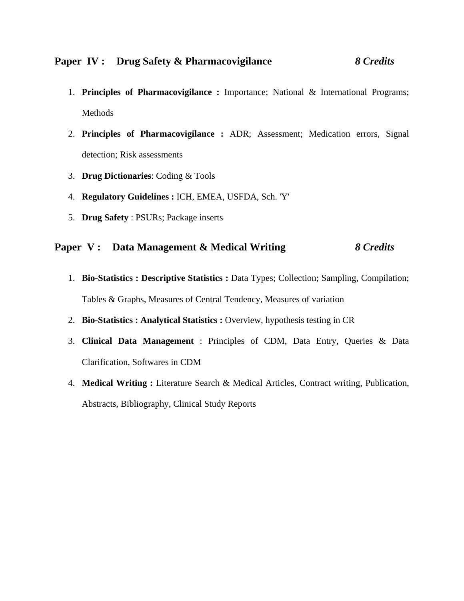- 1. **Principles of Pharmacovigilance :** Importance; National & International Programs; Methods
- 2. **Principles of Pharmacovigilance :** ADR; Assessment; Medication errors, Signal detection; Risk assessments
- 3. **Drug Dictionaries**: Coding & Tools
- 4. **Regulatory Guidelines :** ICH, EMEA, USFDA, Sch. 'Y'
- 5. **Drug Safety** : PSURs; Package inserts

### **Paper V : Data Management & Medical Writing** *8 Credits*

- 1. **Bio-Statistics : Descriptive Statistics :** Data Types; Collection; Sampling, Compilation; Tables & Graphs, Measures of Central Tendency, Measures of variation
- 2. **Bio-Statistics : Analytical Statistics :** Overview, hypothesis testing in CR
- 3. **Clinical Data Management** : Principles of CDM, Data Entry, Queries & Data Clarification, Softwares in CDM
- 4. **Medical Writing :** Literature Search & Medical Articles, Contract writing, Publication, Abstracts, Bibliography, Clinical Study Reports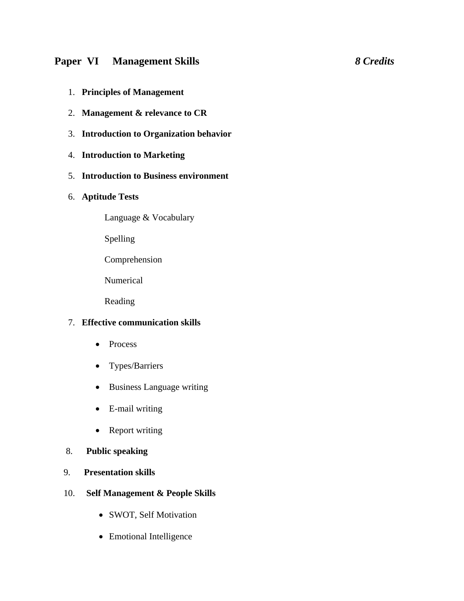### **Paper VI Management Skills** *8 Credits*

- 1. **Principles of Management**
- 2. **Management & relevance to CR**
- 3. **Introduction to Organization behavior**
- 4. **Introduction to Marketing**
- 5. **Introduction to Business environment**
- 6. **Aptitude Tests** 
	- Language & Vocabulary
	- Spelling
	- Comprehension
	- Numerical
	- Reading

### 7. **Effective communication skills**

- Process
- Types/Barriers
- Business Language writing
- E-mail writing
- Report writing
- 8. **Public speaking**
- 9. **Presentation skills**
- 10. **Self Management & People Skills** 
	- SWOT, Self Motivation
	- Emotional Intelligence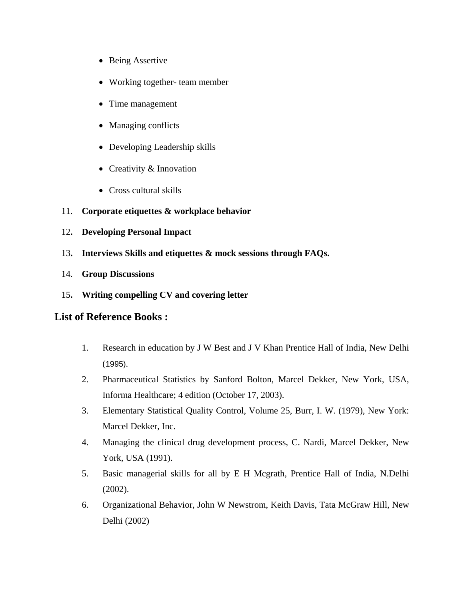- Being Assertive
- Working together- team member
- Time management
- Managing conflicts
- Developing Leadership skills
- Creativity & Innovation
- Cross cultural skills
- 11. **Corporate etiquettes & workplace behavior**
- 12**. Developing Personal Impact**
- 13**. Interviews Skills and etiquettes & mock sessions through FAQs.**
- 14. **Group Discussions**
- 15**. Writing compelling CV and covering letter**

### **List of Reference Books :**

- 1. Research in education by J W Best and J V Khan Prentice Hall of India, New Delhi (1995).
- 2. Pharmaceutical Statistics by Sanford Bolton, Marcel Dekker, New York, USA, Informa Healthcare; 4 edition (October 17, 2003).
- 3. Elementary Statistical Quality Control, Volume 25, Burr, I. W. (1979), New York: Marcel Dekker, Inc.
- 4. Managing the clinical drug development process, C. Nardi, Marcel Dekker, New York, USA (1991).
- 5. Basic managerial skills for all by E H Mcgrath, Prentice Hall of India, N.Delhi (2002).
- 6. Organizational Behavior, John W Newstrom, Keith Davis, Tata McGraw Hill, New Delhi (2002)